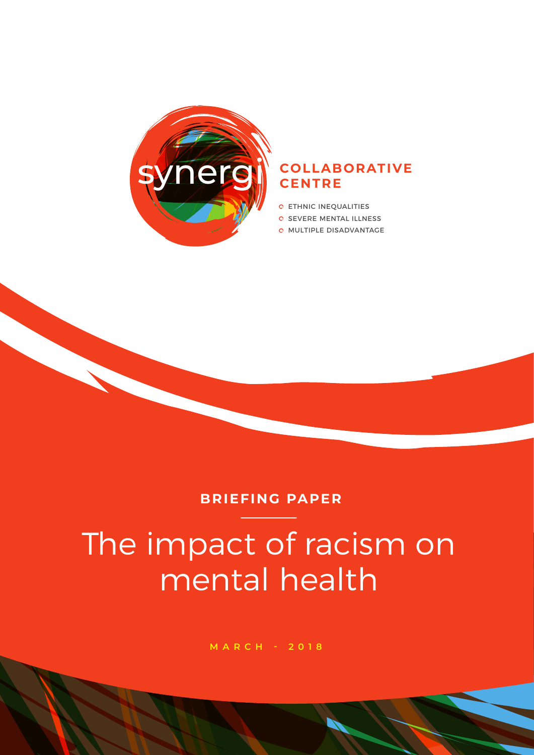

#### **Nergi COLLABORATIVE CENTRE**

- **C** ETHNIC INEQUALITIES
- **O SEVERE MENTAL ILLNESS**
- **O MULTIPLE DISADVANTAGE**

#### **BRIEFING PAPER**

# The impact of racism on mental health

**MARCH - 2018**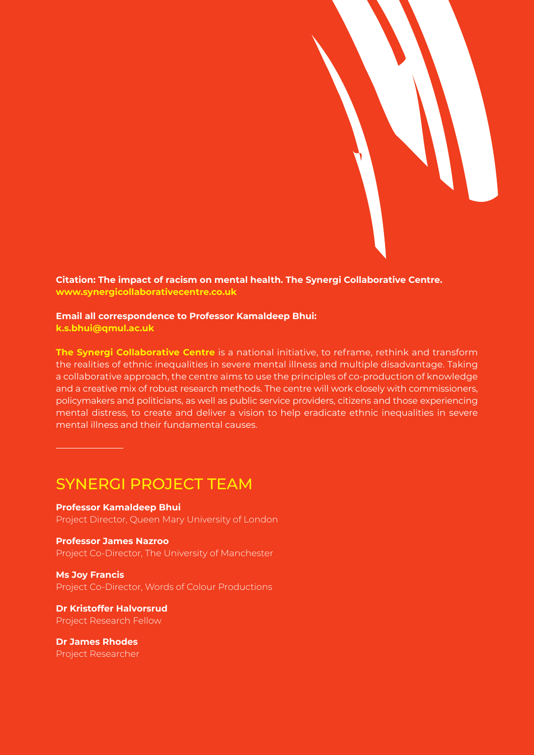

**Citation: The impact of racism on mental health. The Synergi Collaborative Centre. www.synergicollaborativecentre.co.uk**

#### **Email all correspondence to Professor Kamaldeep Bhui:**

**k.s.bhui@qmul.ac.uk**

**The Synergi Collaborative Centre** is a national initiative, to reframe, rethink and transform the realities of ethnic inequalities in severe mental illness and multiple disadvantage. Taking a collaborative approach, the centre aims to use the principles of co-production of knowledge and a creative mix of robust research methods. The centre will work closely with commissioners, policymakers and politicians, as well as public service providers, citizens and those experiencing mental distress, to create and deliver a vision to help eradicate ethnic inequalities in severe mental illness and their fundamental causes.

#### SYNERGI PROJECT TEAM

**Professor Kamaldeep Bhui** Project Director, Queen Mary University of London

**Professor James Nazroo** Project Co-Director, The University of Manchester

**Ms Joy Francis** Project Co-Director, Words of Colour Productions

**Dr Kristoffer Halvorsrud** Project Research Fellow

**Dr James Rhodes** Project Researcher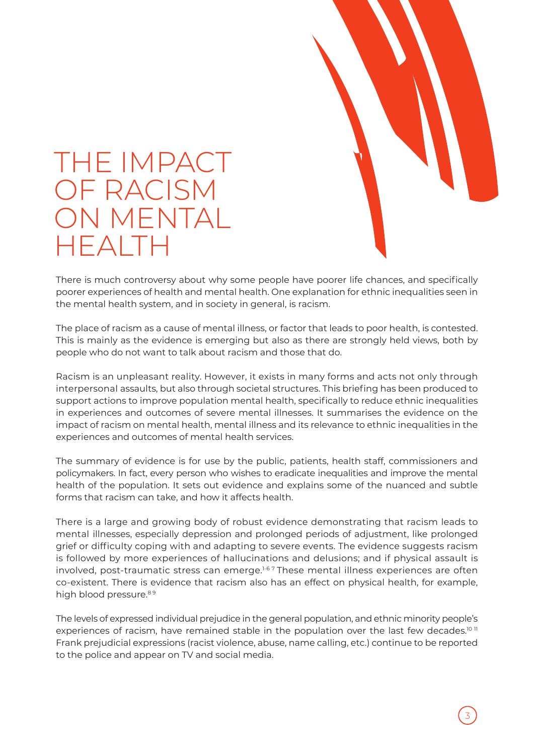

## THE IMPACT OF RACISM ON MENTAL HEALTH

There is much controversy about why some people have poorer life chances, and specifically poorer experiences of health and mental health. One explanation for ethnic inequalities seen in the mental health system, and in society in general, is racism.

The place of racism as a cause of mental illness, or factor that leads to poor health, is contested. This is mainly as the evidence is emerging but also as there are strongly held views, both by people who do not want to talk about racism and those that do.

Racism is an unpleasant reality. However, it exists in many forms and acts not only through interpersonal assaults, but also through societal structures. This briefing has been produced to support actions to improve population mental health, specifically to reduce ethnic inequalities in experiences and outcomes of severe mental illnesses. It summarises the evidence on the impact of racism on mental health, mental illness and its relevance to ethnic inequalities in the experiences and outcomes of mental health services.

The summary of evidence is for use by the public, patients, health staff, commissioners and policymakers. In fact, every person who wishes to eradicate inequalities and improve the mental health of the population. It sets out evidence and explains some of the nuanced and subtle forms that racism can take, and how it affects health.

There is a large and growing body of robust evidence demonstrating that racism leads to mental illnesses, especially depression and prolonged periods of adjustment, like prolonged grief or difficulty coping with and adapting to severe events. The evidence suggests racism is followed by more experiences of hallucinations and delusions; and if physical assault is involved, post-traumatic stress can emerge.<sup>1-67</sup> These mental illness experiences are often co-existent. There is evidence that racism also has an effect on physical health, for example, high blood pressure.<sup>89</sup>

The levels of expressed individual prejudice in the general population, and ethnic minority people's experiences of racism, have remained stable in the population over the last few decades.<sup>10 11</sup> Frank prejudicial expressions (racist violence, abuse, name calling, etc.) continue to be reported to the police and appear on TV and social media.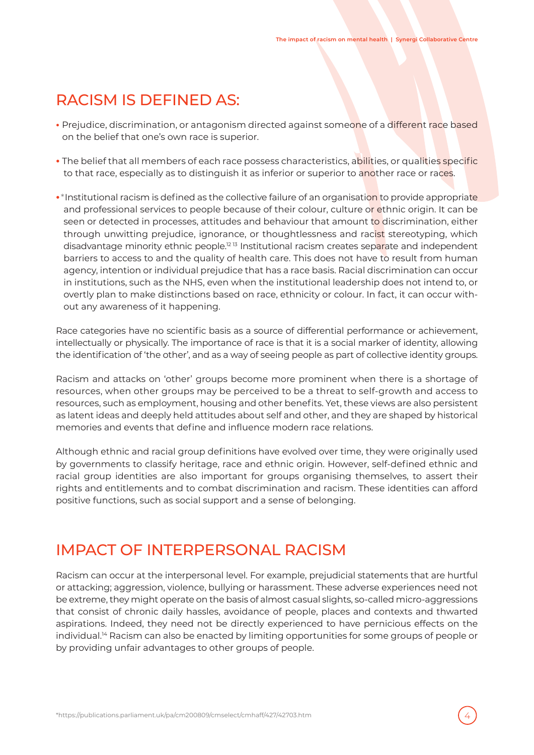### RACISM IS DEFINED AS:

- **•** Prejudice, discrimination, or antagonism directed against someone of a different race based on the belief that one's own race is superior.
- The belief that all members of each race possess characteristics, abilities, or qualities specific to that race, especially as to distinguish it as inferior or superior to another race or races.
- **•**\*Institutional racism is defined as the collective failure of an organisation to provide appropriate and professional services to people because of their colour, culture or ethnic origin. It can be seen or detected in processes, attitudes and behaviour that amount to discrimination, either through unwitting prejudice, ignorance, or thoughtlessness and racist stereotyping, which disadvantage minority ethnic people.<sup>12 13</sup> Institutional racism creates separate and independent barriers to access to and the quality of health care. This does not have to result from human agency, intention or individual prejudice that has a race basis. Racial discrimination can occur in institutions, such as the NHS, even when the institutional leadership does not intend to, or overtly plan to make distinctions based on race, ethnicity or colour. In fact, it can occur without any awareness of it happening.

Race categories have no scientific basis as a source of differential performance or achievement, intellectually or physically. The importance of race is that it is a social marker of identity, allowing the identification of 'the other', and as a way of seeing people as part of collective identity groups.

Racism and attacks on 'other' groups become more prominent when there is a shortage of resources, when other groups may be perceived to be a threat to self-growth and access to resources, such as employment, housing and other benefits. Yet, these views are also persistent as latent ideas and deeply held attitudes about self and other, and they are shaped by historical memories and events that define and influence modern race relations.

Although ethnic and racial group definitions have evolved over time, they were originally used by governments to classify heritage, race and ethnic origin. However, self-defined ethnic and racial group identities are also important for groups organising themselves, to assert their rights and entitlements and to combat discrimination and racism. These identities can afford positive functions, such as social support and a sense of belonging.

#### IMPACT OF INTERPERSONAL RACISM

Racism can occur at the interpersonal level. For example, prejudicial statements that are hurtful or attacking; aggression, violence, bullying or harassment. These adverse experiences need not be extreme, they might operate on the basis of almost casual slights, so-called micro-aggressions that consist of chronic daily hassles, avoidance of people, places and contexts and thwarted aspirations. Indeed, they need not be directly experienced to have pernicious effects on the individual.<sup>14</sup> Racism can also be enacted by limiting opportunities for some groups of people or by providing unfair advantages to other groups of people.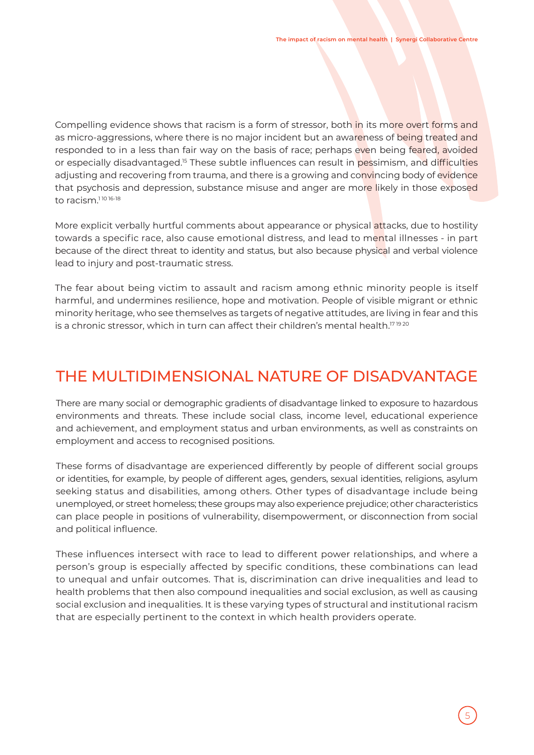Compelling evidence shows that racism is a form of stressor, both in its more overt forms and as micro-aggressions, where there is no major incident but an awareness of being treated and responded to in a less than fair way on the basis of race; perhaps even being feared, avoided or especially disadvantaged.15 These subtle influences can result in pessimism, and difficulties adjusting and recovering from trauma, and there is a growing and convincing body of evidence that psychosis and depression, substance misuse and anger are more likely in those exposed to racism.<sup>110 16-18</sup>

More explicit verbally hurtful comments about appearance or physical attacks, due to hostility towards a specific race, also cause emotional distress, and lead to mental illnesses - in part because of the direct threat to identity and status, but also because physical and verbal violence lead to injury and post-traumatic stress.

The fear about being victim to assault and racism among ethnic minority people is itself harmful, and undermines resilience, hope and motivation. People of visible migrant or ethnic minority heritage, who see themselves as targets of negative attitudes, are living in fear and this is a chronic stressor, which in turn can affect their children's mental health.<sup>1719 20</sup>

## THE MULTIDIMENSIONAL NATURE OF DISADVANTAGE

There are many social or demographic gradients of disadvantage linked to exposure to hazardous environments and threats. These include social class, income level, educational experience and achievement, and employment status and urban environments, as well as constraints on employment and access to recognised positions.

These forms of disadvantage are experienced differently by people of different social groups or identities, for example, by people of different ages, genders, sexual identities, religions, asylum seeking status and disabilities, among others. Other types of disadvantage include being unemployed, or street homeless; these groups may also experience prejudice; other characteristics can place people in positions of vulnerability, disempowerment, or disconnection from social and political influence.

These influences intersect with race to lead to different power relationships, and where a person's group is especially affected by specific conditions, these combinations can lead to unequal and unfair outcomes. That is, discrimination can drive inequalities and lead to health problems that then also compound inequalities and social exclusion, as well as causing social exclusion and inequalities. It is these varying types of structural and institutional racism that are especially pertinent to the context in which health providers operate.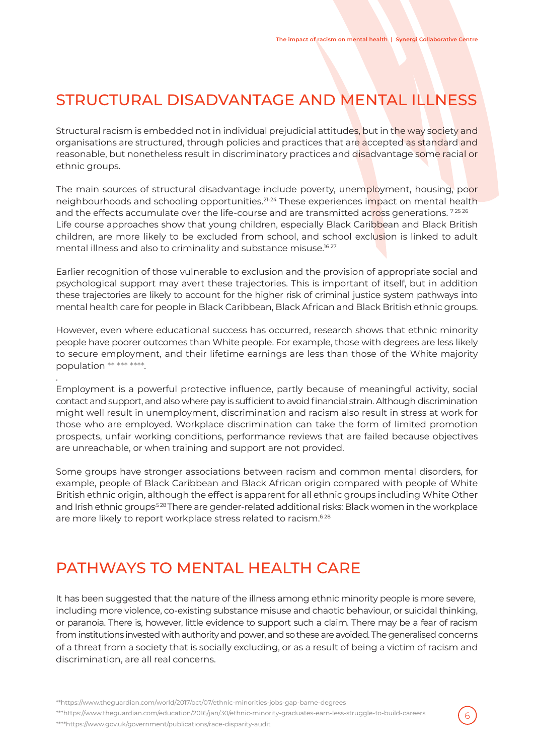## STRUCTURAL DISADVANTAGE AND MENTAL ILLNESS

Structural racism is embedded not in individual prejudicial attitudes, but in the way society and organisations are structured, through policies and practices that are accepted as standard and reasonable, but nonetheless result in discriminatory practices and disadvantage some racial or ethnic groups.

The main sources of structural disadvantage include poverty, unemployment, housing, poor neighbourhoods and schooling opportunities.<sup>21-24</sup> These experiences impact on mental health and the effects accumulate over the life-course and are transmitted across generations.<sup>72526</sup> Life course approaches show that young children, especially Black Caribbean and Black British children, are more likely to be excluded from school, and school exclusion is linked to adult mental illness and also to criminality and substance misuse.<sup>1627</sup>

Earlier recognition of those vulnerable to exclusion and the provision of appropriate social and psychological support may avert these trajectories. This is important of itself, but in addition these trajectories are likely to account for the higher risk of criminal justice system pathways into mental health care for people in Black Caribbean, Black African and Black British ethnic groups.

However, even where educational success has occurred, research shows that ethnic minority people have poorer outcomes than White people. For example, those with degrees are less likely to secure employment, and their lifetime earnings are less than those of the White majority population \*\* \*\*\* \*\*\*\*.

Employment is a powerful protective influence, partly because of meaningful activity, social contact and support, and also where pay is sufficient to avoid financial strain. Although discrimination might well result in unemployment, discrimination and racism also result in stress at work for those who are employed. Workplace discrimination can take the form of limited promotion prospects, unfair working conditions, performance reviews that are failed because objectives are unreachable, or when training and support are not provided.

Some groups have stronger associations between racism and common mental disorders, for example, people of Black Caribbean and Black African origin compared with people of White British ethnic origin, although the effect is apparent for all ethnic groups including White Other and Irish ethnic groups<sup>528</sup> There are gender-related additional risks: Black women in the workplace are more likely to report workplace stress related to racism.<sup>628</sup>

## PATHWAYS TO MENTAL HEALTH CARE

It has been suggested that the nature of the illness among ethnic minority people is more severe, including more violence, co-existing substance misuse and chaotic behaviour, or suicidal thinking, or paranoia. There is, however, little evidence to support such a claim. There may be a fear of racism from institutions invested with authority and power, and so these are avoided. The generalised concerns of a threat from a society that is socially excluding, or as a result of being a victim of racism and discrimination, are all real concerns.

6

\*\*https://www.theguardian.com/world/2017/oct/07/ethnic-minorities-jobs-gap-bame-degrees

\*\*\*https://www.theguardian.com/education/2016/jan/30/ethnic-minority-graduates-earn-less-struggle-to-build-careers

\*\*\*\*https://www.gov.uk/government/publications/race-disparity-audit

.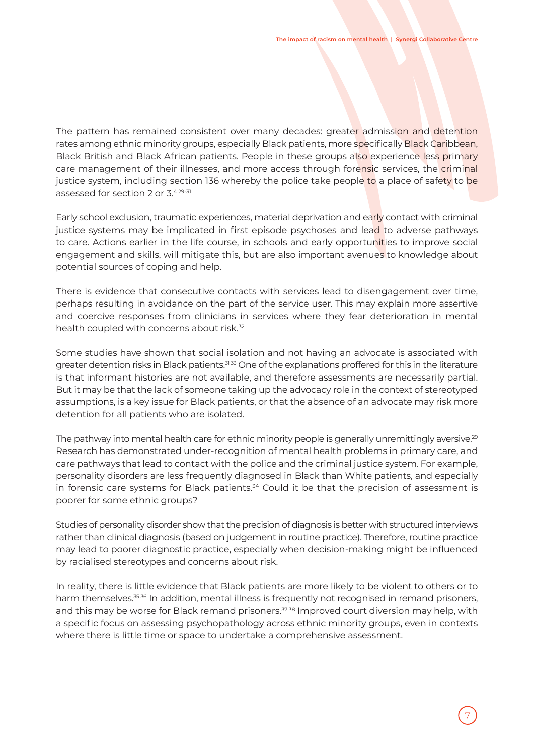The pattern has remained consistent over many decades: greater admission and detention rates among ethnic minority groups, especially Black patients, more specifically Black Caribbean, Black British and Black African patients. People in these groups also experience less primary care management of their illnesses, and more access through forensic services, the criminal justice system, including section 136 whereby the police take people to a place of safety to be assessed for section 2 or 3.4 29-31

Early school exclusion, traumatic experiences, material deprivation and early contact with criminal justice systems may be implicated in first episode psychoses and lead to adverse pathways to care. Actions earlier in the life course, in schools and early opportunities to improve social engagement and skills, will mitigate this, but are also important avenues to knowledge about potential sources of coping and help.

There is evidence that consecutive contacts with services lead to disengagement over time, perhaps resulting in avoidance on the part of the service user. This may explain more assertive and coercive responses from clinicians in services where they fear deterioration in mental health coupled with concerns about risk.<sup>32</sup>

Some studies have shown that social isolation and not having an advocate is associated with greater detention risks in Black patients.<sup>3133</sup> One of the explanations proffered for this in the literature is that informant histories are not available, and therefore assessments are necessarily partial. But it may be that the lack of someone taking up the advocacy role in the context of stereotyped assumptions, is a key issue for Black patients, or that the absence of an advocate may risk more detention for all patients who are isolated.

The pathway into mental health care for ethnic minority people is generally unremittingly aversive.<sup>29</sup> Research has demonstrated under-recognition of mental health problems in primary care, and care pathways that lead to contact with the police and the criminal justice system. For example, personality disorders are less frequently diagnosed in Black than White patients, and especially in forensic care systems for Black patients.<sup>34</sup> Could it be that the precision of assessment is poorer for some ethnic groups?

Studies of personality disorder show that the precision of diagnosis is better with structured interviews rather than clinical diagnosis (based on judgement in routine practice). Therefore, routine practice may lead to poorer diagnostic practice, especially when decision-making might be influenced by racialised stereotypes and concerns about risk.

In reality, there is little evidence that Black patients are more likely to be violent to others or to harm themselves.<sup>35 36</sup> In addition, mental illness is frequently not recognised in remand prisoners, and this may be worse for Black remand prisoners.<sup>3738</sup> Improved court diversion may help, with a specific focus on assessing psychopathology across ethnic minority groups, even in contexts where there is little time or space to undertake a comprehensive assessment.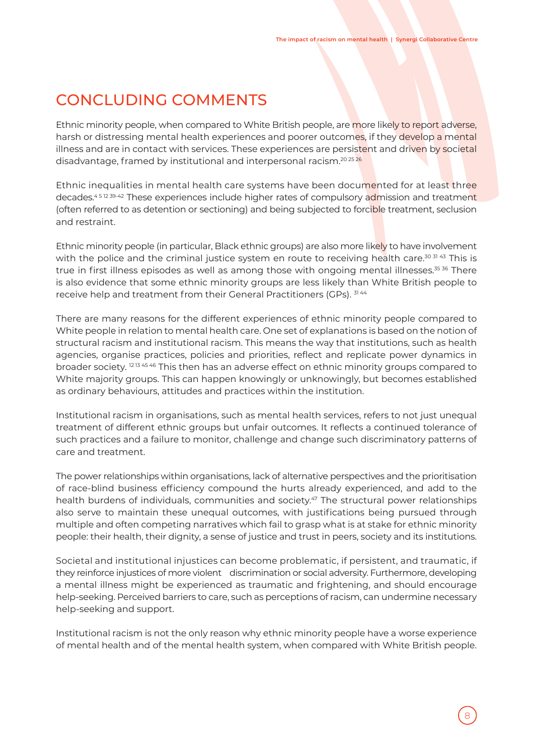## CONCLUDING COMMENTS

Ethnic minority people, when compared to White British people, are more likely to report adverse, harsh or distressing mental health experiences and poorer outcomes, if they develop a mental illness and are in contact with services. These experiences are persistent and driven by societal disadvantage, framed by institutional and interpersonal racism.<sup>20 25</sup> 26

Ethnic inequalities in mental health care systems have been documented for at least three decades.<sup>451239-42</sup> These experiences include higher rates of compulsory admission and treatment (often referred to as detention or sectioning) and being subjected to forcible treatment, seclusion and restraint.

Ethnic minority people (in particular, Black ethnic groups) are also more likely to have involvement with the police and the criminal justice system en route to receiving health care.<sup>30 31 43</sup> This is true in first illness episodes as well as among those with ongoing mental illnesses.<sup>35 36</sup> There is also evidence that some ethnic minority groups are less likely than White British people to receive help and treatment from their General Practitioners (GPs). 3144

There are many reasons for the different experiences of ethnic minority people compared to White people in relation to mental health care. One set of explanations is based on the notion of structural racism and institutional racism. This means the way that institutions, such as health agencies, organise practices, policies and priorities, reflect and replicate power dynamics in broader society.<sup>1213 45 46</sup> This then has an adverse effect on ethnic minority groups compared to White majority groups. This can happen knowingly or unknowingly, but becomes established as ordinary behaviours, attitudes and practices within the institution.

Institutional racism in organisations, such as mental health services, refers to not just unequal treatment of different ethnic groups but unfair outcomes. It reflects a continued tolerance of such practices and a failure to monitor, challenge and change such discriminatory patterns of care and treatment.

The power relationships within organisations, lack of alternative perspectives and the prioritisation of race-blind business efficiency compound the hurts already experienced, and add to the health burdens of individuals, communities and society.<sup>47</sup> The structural power relationships also serve to maintain these unequal outcomes, with justifications being pursued through multiple and often competing narratives which fail to grasp what is at stake for ethnic minority people: their health, their dignity, a sense of justice and trust in peers, society and its institutions.

Societal and institutional injustices can become problematic, if persistent, and traumatic, if they reinforce injustices of more violent discrimination or social adversity. Furthermore, developing a mental illness might be experienced as traumatic and frightening, and should encourage help-seeking. Perceived barriers to care, such as perceptions of racism, can undermine necessary help-seeking and support.

Institutional racism is not the only reason why ethnic minority people have a worse experience of mental health and of the mental health system, when compared with White British people.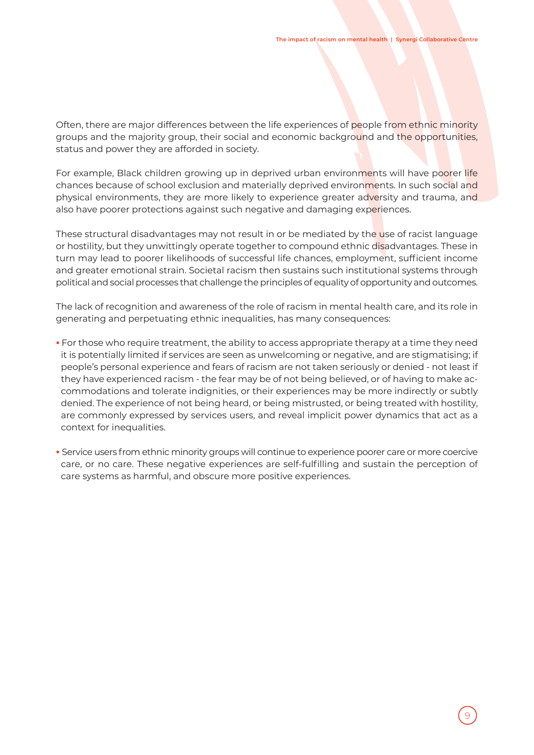Often, there are major differences between the life experiences of people from ethnic minority groups and the majority group, their social and economic background and the opportunities, status and power they are afforded in society.

For example, Black children growing up in deprived urban environments will have poorer life chances because of school exclusion and materially deprived environments. In such social and physical environments, they are more likely to experience greater adversity and trauma, and also have poorer protections against such negative and damaging experiences.

These structural disadvantages may not result in or be mediated by the use of racist language or hostility, but they unwittingly operate together to compound ethnic disadvantages. These in turn may lead to poorer likelihoods of successful life chances, employment, sufficient income and greater emotional strain. Societal racism then sustains such institutional systems through political and social processes that challenge the principles of equality of opportunity and outcomes.

The lack of recognition and awareness of the role of racism in mental health care, and its role in generating and perpetuating ethnic inequalities, has many consequences:

- **•** For those who require treatment, the ability to access appropriate therapy at a time they need it is potentially limited if services are seen as unwelcoming or negative, and are stigmatising; if people's personal experience and fears of racism are not taken seriously or denied - not least if they have experienced racism - the fear may be of not being believed, or of having to make accommodations and tolerate indignities, or their experiences may be more indirectly or subtly denied. The experience of not being heard, or being mistrusted, or being treated with hostility, are commonly expressed by services users, and reveal implicit power dynamics that act as a context for inequalities.
- **•** Service users from ethnic minority groups will continue to experience poorer care or more coercive care, or no care. These negative experiences are self-fulfilling and sustain the perception of care systems as harmful, and obscure more positive experiences.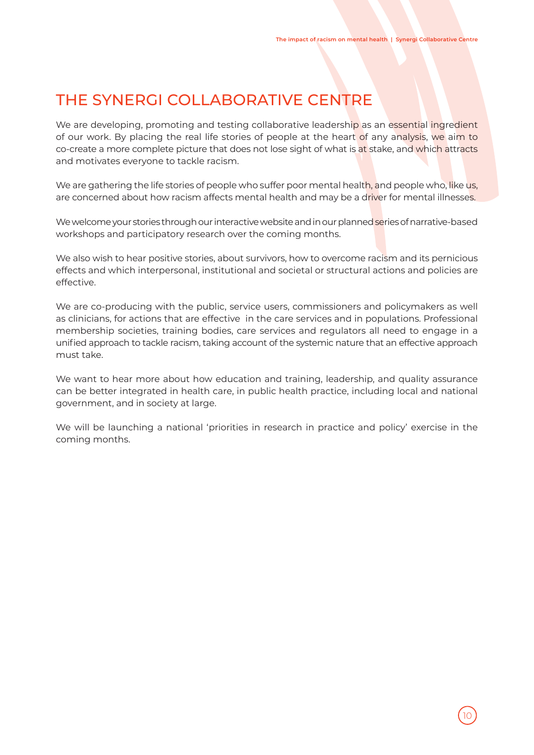## THE SYNERGI COLLABORATIVE CENTRE

We are developing, promoting and testing collaborative leadership as an essential ingredient of our work. By placing the real life stories of people at the heart of any analysis, we aim to co-create a more complete picture that does not lose sight of what is at stake, and which attracts and motivates everyone to tackle racism.

We are gathering the life stories of people who suffer poor mental health, and people who, like us, are concerned about how racism affects mental health and may be a driver for mental illnesses.

We welcome your stories through our interactive website and in our planned series of narrative-based workshops and participatory research over the coming months.

We also wish to hear positive stories, about survivors, how to overcome racism and its pernicious effects and which interpersonal, institutional and societal or structural actions and policies are effective.

We are co-producing with the public, service users, commissioners and policymakers as well as clinicians, for actions that are effective in the care services and in populations. Professional membership societies, training bodies, care services and regulators all need to engage in a unified approach to tackle racism, taking account of the systemic nature that an effective approach must take.

We want to hear more about how education and training, leadership, and quality assurance can be better integrated in health care, in public health practice, including local and national government, and in society at large.

We will be launching a national 'priorities in research in practice and policy' exercise in the coming months.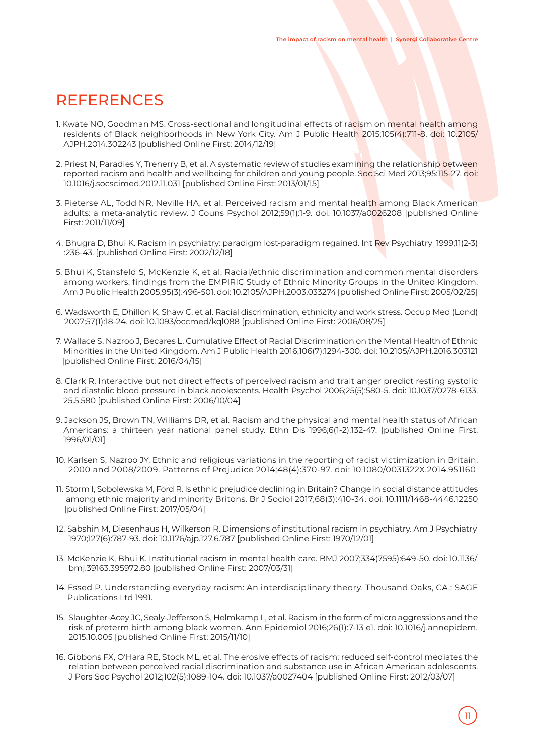#### **REFERENCES**

- 1. Kwate NO, Goodman MS. Cross-sectional and longitudinal effects of racism on mental health among residents of Black neighborhoods in New York City. Am J Public Health 2015;105(4):711-8. doi: 10.2105/ AJPH.2014.302243 [published Online First: 2014/12/19]
- 2. Priest N, Paradies Y, Trenerry B, et al. A systematic review of studies examining the relationship between reported racism and health and wellbeing for children and young people. Soc Sci Med 2013;95:115-27. doi: 10.1016/j.socscimed.2012.11.031 [published Online First: 2013/01/15]
- 3. Pieterse AL, Todd NR, Neville HA, et al. Perceived racism and mental health among Black American adults: a meta-analytic review. J Couns Psychol 2012;59(1):1-9. doi: 10.1037/a0026208 [published Online First: 2011/11/09]
- 4. Bhugra D, Bhui K. Racism in psychiatry: paradigm lost-paradigm regained. Int Rev Psychiatry 1999;11(2-3) :236-43. [published Online First: 2002/12/18]
- 5. Bhui K, Stansfeld S, McKenzie K, et al. Racial/ethnic discrimination and common mental disorders among workers: findings from the EMPIRIC Study of Ethnic Minority Groups in the United Kingdom. Am J Public Health 2005;95(3):496-501. doi: 10.2105/AJPH.2003.033274 [published Online First: 2005/02/25]
- 6. Wadsworth E, Dhillon K, Shaw C, et al. Racial discrimination, ethnicity and work stress. Occup Med (Lond) 2007;57(1):18-24. doi: 10.1093/occmed/kql088 [published Online First: 2006/08/25]
- 7. Wallace S, Nazroo J, Becares L. Cumulative Effect of Racial Discrimination on the Mental Health of Ethnic Minorities in the United Kingdom. Am J Public Health 2016;106(7):1294-300. doi: 10.2105/AJPH.2016.303121 [published Online First: 2016/04/15]
- 8. Clark R. Interactive but not direct effects of perceived racism and trait anger predict resting systolic and diastolic blood pressure in black adolescents. Health Psychol 2006;25(5):580-5. doi: 10.1037/0278-6133. 25.5.580 [published Online First: 2006/10/04]
- 9. Jackson JS, Brown TN, Williams DR, et al. Racism and the physical and mental health status of African Americans: a thirteen year national panel study. Ethn Dis 1996;6(1-2):132-47. [published Online First: 1996/01/01]
- 10. Karlsen S, Nazroo JY. Ethnic and religious variations in the reporting of racist victimization in Britain: 2000 and 2008/2009. Patterns of Prejudice 2014;48(4):370-97. doi: 10.1080/0031322X.2014.951160
- 11. Storm I, Sobolewska M, Ford R. Is ethnic prejudice declining in Britain? Change in social distance attitudes among ethnic majority and minority Britons. Br J Sociol 2017;68(3):410-34. doi: 10.1111/1468-4446.12250 [published Online First: 2017/05/04]
- 12. Sabshin M, Diesenhaus H, Wilkerson R. Dimensions of institutional racism in psychiatry. Am J Psychiatry 1970;127(6):787-93. doi: 10.1176/ajp.127.6.787 [published Online First: 1970/12/01]
- 13. McKenzie K, Bhui K. Institutional racism in mental health care. BMJ 2007;334(7595):649-50. doi: 10.1136/ bmj.39163.395972.80 [published Online First: 2007/03/31]
- 14. Essed P. Understanding everyday racism: An interdisciplinary theory. Thousand Oaks, CA.: SAGE Publications Ltd 1991.
- 15. Slaughter-Acey JC, Sealy-Jefferson S, Helmkamp L, et al. Racism in the form of micro aggressions and the risk of preterm birth among black women. Ann Epidemiol 2016;26(1):7-13 e1. doi: 10.1016/j.annepidem. 2015.10.005 [published Online First: 2015/11/10]
- 16. Gibbons FX, O'Hara RE, Stock ML, et al. The erosive effects of racism: reduced self-control mediates the relation between perceived racial discrimination and substance use in African American adolescents. J Pers Soc Psychol 2012;102(5):1089-104. doi: 10.1037/a0027404 [published Online First: 2012/03/07]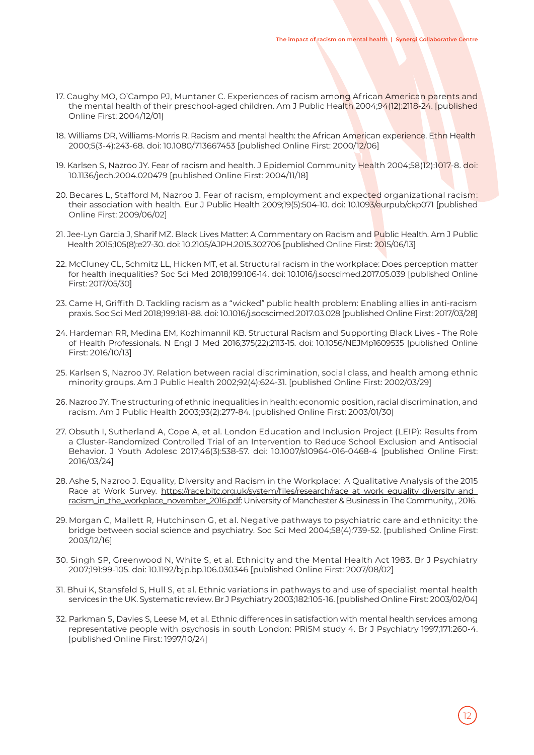- 17. Caughy MO, O'Campo PJ, Muntaner C. Experiences of racism among African American parents and the mental health of their preschool-aged children. Am J Public Health 2004;94(12):2118-24. [published Online First: 2004/12/01]
- 18. Williams DR, Williams-Morris R. Racism and mental health: the African American experience. Ethn Health 2000;5(3-4):243-68. doi: 10.1080/713667453 [published Online First: 2000/12/06]
- 19. Karlsen S, Nazroo JY. Fear of racism and health. J Epidemiol Community Health 2004;58(12):1017-8. doi: 10.1136/jech.2004.020479 [published Online First: 2004/11/18]
- 20. Becares L, Stafford M, Nazroo J. Fear of racism, employment and expected organizational racism: their association with health. Eur J Public Health 2009;19(5):504-10. doi: 10.1093/eurpub/ckp071 [published Online First: 2009/06/02]
- 21. Jee-Lyn Garcia J, Sharif MZ. Black Lives Matter: A Commentary on Racism and Public Health. Am J Public Health 2015;105(8):e27-30. doi: 10.2105/AJPH.2015.302706 [published Online First: 2015/06/13]
- 22. McCluney CL, Schmitz LL, Hicken MT, et al. Structural racism in the workplace: Does perception matter for health inequalities? Soc Sci Med 2018;199:106-14. doi: 10.1016/j.socscimed.2017.05.039 [published Online First: 2017/05/30]
- 23. Came H, Griffith D. Tackling racism as a "wicked" public health problem: Enabling allies in anti-racism praxis. Soc Sci Med 2018;199:181-88. doi: 10.1016/j.socscimed.2017.03.028 [published Online First: 2017/03/28]
- 24. Hardeman RR, Medina EM, Kozhimannil KB. Structural Racism and Supporting Black Lives The Role of Health Professionals. N Engl J Med 2016;375(22):2113-15. doi: 10.1056/NEJMp1609535 [published Online First: 2016/10/13]
- 25. Karlsen S, Nazroo JY. Relation between racial discrimination, social class, and health among ethnic minority groups. Am J Public Health 2002;92(4):624-31. [published Online First: 2002/03/29]
- 26. Nazroo JY. The structuring of ethnic inequalities in health: economic position, racial discrimination, and racism. Am J Public Health 2003;93(2):277-84. [published Online First: 2003/01/30]
- 27. Obsuth I, Sutherland A, Cope A, et al. London Education and Inclusion Project (LEIP): Results from a Cluster-Randomized Controlled Trial of an Intervention to Reduce School Exclusion and Antisocial Behavior. J Youth Adolesc 2017;46(3):538-57. doi: 10.1007/s10964-016-0468-4 [published Online First: 2016/03/24]
- 28. Ashe S, Nazroo J. Equality, Diversity and Racism in the Workplace: A Qualitative Analysis of the 2015 Race at Work Survey. https://race.bitc.org.uk/system/files/research/race\_at\_work\_equality\_diversity\_and\_ racism\_in\_the\_workplace\_november\_2016.pdf: University of Manchester & Business in The Community, , 2016.
- 29. Morgan C, Mallett R, Hutchinson G, et al. Negative pathways to psychiatric care and ethnicity: the bridge between social science and psychiatry. Soc Sci Med 2004;58(4):739-52. [published Online First: 2003/12/16]
- 30. Singh SP, Greenwood N, White S, et al. Ethnicity and the Mental Health Act 1983. Br J Psychiatry 2007;191:99-105. doi: 10.1192/bjp.bp.106.030346 [published Online First: 2007/08/02]
- 31. Bhui K, Stansfeld S, Hull S, et al. Ethnic variations in pathways to and use of specialist mental health services in the UK. Systematic review. Br J Psychiatry 2003;182:105-16. [published Online First: 2003/02/04]
- 32. Parkman S, Davies S, Leese M, et al. Ethnic differences in satisfaction with mental health services among representative people with psychosis in south London: PRiSM study 4. Br J Psychiatry 1997;171:260-4. [published Online First: 1997/10/24]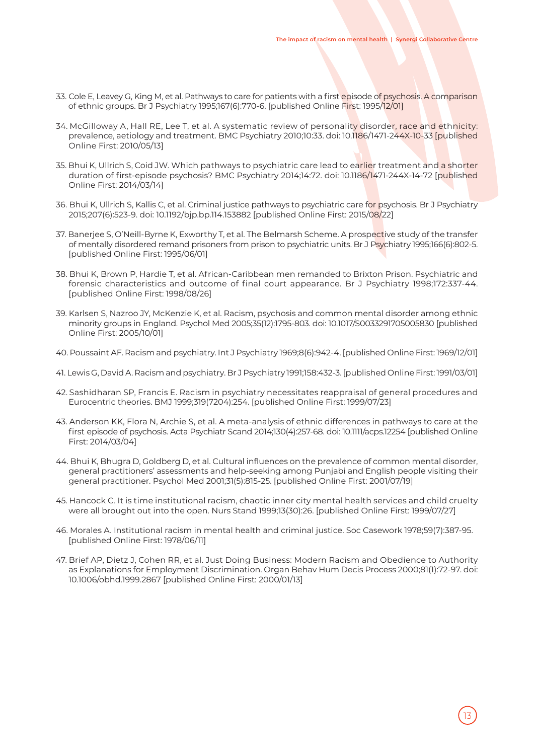- 33. Cole E, Leavey G, King M, et al. Pathways to care for patients with a first episode of psychosis. A comparison of ethnic groups. Br J Psychiatry 1995;167(6):770-6. [published Online First: 1995/12/01]
- 34. McGilloway A, Hall RE, Lee T, et al. A systematic review of personality disorder, race and ethnicity: prevalence, aetiology and treatment. BMC Psychiatry 2010;10:33. doi: 10.1186/1471-244X-10-33 [published Online First: 2010/05/13]
- 35. Bhui K, Ullrich S, Coid JW. Which pathways to psychiatric care lead to earlier treatment and a shorter duration of first-episode psychosis? BMC Psychiatry 2014;14:72. doi: 10.1186/1471-244X-14-72 [published Online First: 2014/03/14]
- 36. Bhui K, Ullrich S, Kallis C, et al. Criminal justice pathways to psychiatric care for psychosis. Br J Psychiatry 2015;207(6):523-9. doi: 10.1192/bjp.bp.114.153882 [published Online First: 2015/08/22]
- 37. Banerjee S, O'Neill-Byrne K, Exworthy T, et al. The Belmarsh Scheme. A prospective study of the transfer of mentally disordered remand prisoners from prison to psychiatric units. Br J Psychiatry 1995;166(6):802-5. [published Online First: 1995/06/01]
- 38. Bhui K, Brown P, Hardie T, et al. African-Caribbean men remanded to Brixton Prison. Psychiatric and forensic characteristics and outcome of final court appearance. Br J Psychiatry 1998;172:337-44. [published Online First: 1998/08/26]
- 39. Karlsen S, Nazroo JY, McKenzie K, et al. Racism, psychosis and common mental disorder among ethnic minority groups in England. Psychol Med 2005;35(12):1795-803. doi: 10.1017/S0033291705005830 [published Online First: 2005/10/01]
- 40. Poussaint AF. Racism and psychiatry. Int J Psychiatry 1969;8(6):942-4. [published Online First: 1969/12/01]
- 41. Lewis G, David A. Racism and psychiatry. Br J Psychiatry 1991;158:432-3. [published Online First: 1991/03/01]
- 42. Sashidharan SP, Francis E. Racism in psychiatry necessitates reappraisal of general procedures and Eurocentric theories. BMJ 1999;319(7204):254. [published Online First: 1999/07/23]
- 43. Anderson KK, Flora N, Archie S, et al. A meta-analysis of ethnic differences in pathways to care at the first episode of psychosis. Acta Psychiatr Scand 2014;130(4):257-68. doi: 10.1111/acps.12254 [published Online First: 2014/03/04]
- 44. Bhui K, Bhugra D, Goldberg D, et al. Cultural influences on the prevalence of common mental disorder, general practitioners' assessments and help-seeking among Punjabi and English people visiting their general practitioner. Psychol Med 2001;31(5):815-25. [published Online First: 2001/07/19]
- 45. Hancock C. It is time institutional racism, chaotic inner city mental health services and child cruelty were all brought out into the open. Nurs Stand 1999;13(30):26. [published Online First: 1999/07/27]
- 46. Morales A. Institutional racism in mental health and criminal justice. Soc Casework 1978;59(7):387-95. [published Online First: 1978/06/11]
- 47. Brief AP, Dietz J, Cohen RR, et al. Just Doing Business: Modern Racism and Obedience to Authority as Explanations for Employment Discrimination. Organ Behav Hum Decis Process 2000;81(1):72-97. doi: 10.1006/obhd.1999.2867 [published Online First: 2000/01/13]